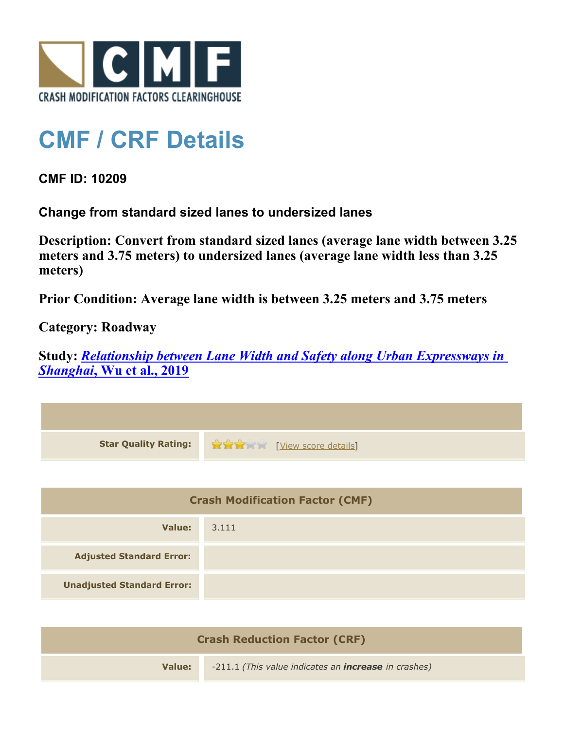

## **CMF / CRF Details**

**CMF ID: 10209**

**Change from standard sized lanes to undersized lanes**

**Description: Convert from standard sized lanes (average lane width between 3.25 meters and 3.75 meters) to undersized lanes (average lane width less than 3.25 meters)**

**Prior Condition: Average lane width is between 3.25 meters and 3.75 meters**

**Category: Roadway**

**Study:** *[Relationship between Lane Width and Safety along Urban Expressways in](http://www.cmfclearinghouse.org/study_detail.cfm?stid=586) [Shanghai](http://www.cmfclearinghouse.org/study_detail.cfm?stid=586)***[, Wu et al., 2019](http://www.cmfclearinghouse.org/study_detail.cfm?stid=586)**

| <b>Star Quality Rating:</b>            | View score details |  |
|----------------------------------------|--------------------|--|
|                                        |                    |  |
| <b>Crash Modification Factor (CMF)</b> |                    |  |
| Value:                                 | 3.111              |  |
| <b>Adjusted Standard Error:</b>        |                    |  |
| <b>Unadjusted Standard Error:</b>      |                    |  |

| <b>Crash Reduction Factor (CRF)</b> |                                                             |  |
|-------------------------------------|-------------------------------------------------------------|--|
| Value:                              | -211.1 (This value indicates an <b>increase</b> in crashes) |  |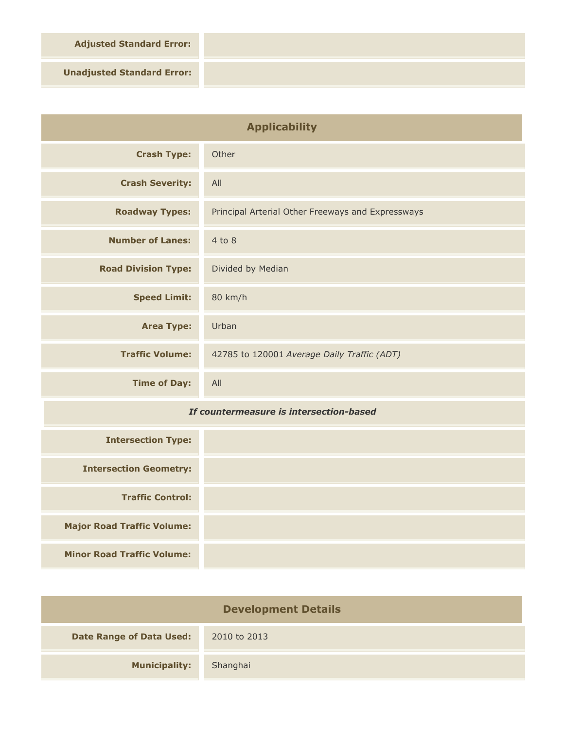**Adjusted Standard Error:**

**Unadjusted Standard Error:**

| <b>Applicability</b>                    |                                                   |
|-----------------------------------------|---------------------------------------------------|
| <b>Crash Type:</b>                      | Other                                             |
| <b>Crash Severity:</b>                  | All                                               |
| <b>Roadway Types:</b>                   | Principal Arterial Other Freeways and Expressways |
| <b>Number of Lanes:</b>                 | $4$ to $8$                                        |
| <b>Road Division Type:</b>              | Divided by Median                                 |
| <b>Speed Limit:</b>                     | 80 km/h                                           |
| <b>Area Type:</b>                       | Urban                                             |
| <b>Traffic Volume:</b>                  | 42785 to 120001 Average Daily Traffic (ADT)       |
| <b>Time of Day:</b>                     | All                                               |
| If countermeasure is intersection-based |                                                   |
| <b>Intersection Type:</b>               |                                                   |
| <b>Intersection Geometry:</b>           |                                                   |
| <b>Traffic Control:</b>                 |                                                   |

**Minor Road Traffic Volume:**

**Major Road Traffic Volume:**

| <b>Development Details</b>      |              |  |
|---------------------------------|--------------|--|
| <b>Date Range of Data Used:</b> | 2010 to 2013 |  |
| <b>Municipality:</b>            | Shanghai     |  |